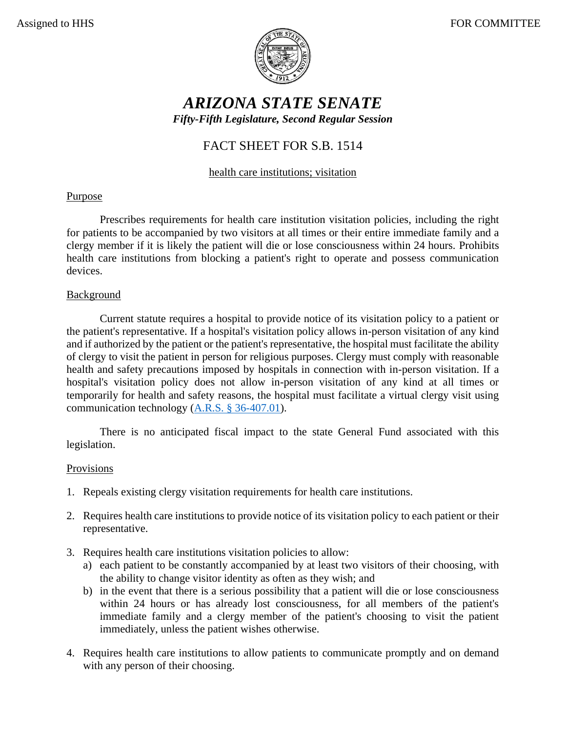

# *ARIZONA STATE SENATE Fifty-Fifth Legislature, Second Regular Session*

## FACT SHEET FOR S.B. 1514

### health care institutions; visitation

#### **Purpose**

Prescribes requirements for health care institution visitation policies, including the right for patients to be accompanied by two visitors at all times or their entire immediate family and a clergy member if it is likely the patient will die or lose consciousness within 24 hours. Prohibits health care institutions from blocking a patient's right to operate and possess communication devices.

#### Background

Current statute requires a hospital to provide notice of its visitation policy to a patient or the patient's representative. If a hospital's visitation policy allows in-person visitation of any kind and if authorized by the patient or the patient's representative, the hospital must facilitate the ability of clergy to visit the patient in person for religious purposes. Clergy must comply with reasonable health and safety precautions imposed by hospitals in connection with in-person visitation. If a hospital's visitation policy does not allow in-person visitation of any kind at all times or temporarily for health and safety reasons, the hospital must facilitate a virtual clergy visit using communication technology [\(A.R.S. § 36-407.01\)](https://www.azleg.gov/viewdocument/?docName=https://www.azleg.gov/ars/36/00407-01.htm).

There is no anticipated fiscal impact to the state General Fund associated with this legislation.

#### Provisions

- 1. Repeals existing clergy visitation requirements for health care institutions.
- 2. Requires health care institutions to provide notice of its visitation policy to each patient or their representative.
- 3. Requires health care institutions visitation policies to allow:
	- a) each patient to be constantly accompanied by at least two visitors of their choosing, with the ability to change visitor identity as often as they wish; and
	- b) in the event that there is a serious possibility that a patient will die or lose consciousness within 24 hours or has already lost consciousness, for all members of the patient's immediate family and a clergy member of the patient's choosing to visit the patient immediately, unless the patient wishes otherwise.
- 4. Requires health care institutions to allow patients to communicate promptly and on demand with any person of their choosing.